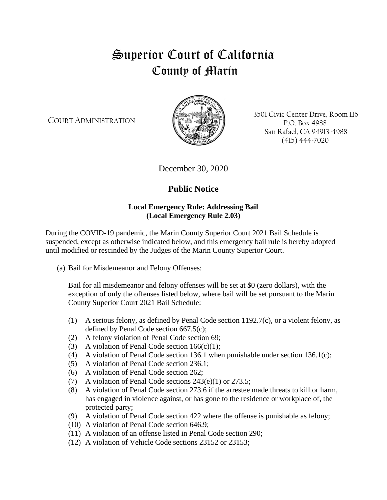## Superior Court of California County of Marin

COURT ADMINISTRATION



3501 Civic Center Drive, Room 116 P.O. Box 4988 San Rafael, CA 94913-4988 (415) 444-7020

December 30, 2020

## **Public Notice**

## **Local Emergency Rule: Addressing Bail (Local Emergency Rule 2.03)**

During the COVID-19 pandemic, the Marin County Superior Court 2021 Bail Schedule is suspended, except as otherwise indicated below, and this emergency bail rule is hereby adopted until modified or rescinded by the Judges of the Marin County Superior Court.

(a) Bail for Misdemeanor and Felony Offenses:

Bail for all misdemeanor and felony offenses will be set at \$0 (zero dollars), with the exception of only the offenses listed below, where bail will be set pursuant to the Marin County Superior Court 2021 Bail Schedule:

- (1) A serious felony, as defined by Penal Code section 1192.7(c), or a violent felony, as defined by Penal Code section 667.5(c);
- (2) A felony violation of Penal Code section 69;
- (3) A violation of Penal Code section  $166(c)(1)$ ;
- (4) A violation of Penal Code section 136.1 when punishable under section 136.1(c);
- (5) A violation of Penal Code section 236.1;
- (6) A violation of Penal Code section 262;
- (7) A violation of Penal Code sections 243(e)(1) or 273.5;
- (8) A violation of Penal Code section 273.6 if the arrestee made threats to kill or harm, has engaged in violence against, or has gone to the residence or workplace of, the protected party;
- (9) A violation of Penal Code section 422 where the offense is punishable as felony;
- (10) A violation of Penal Code section 646.9;
- (11) A violation of an offense listed in Penal Code section 290;
- (12) A violation of Vehicle Code sections 23152 or 23153;